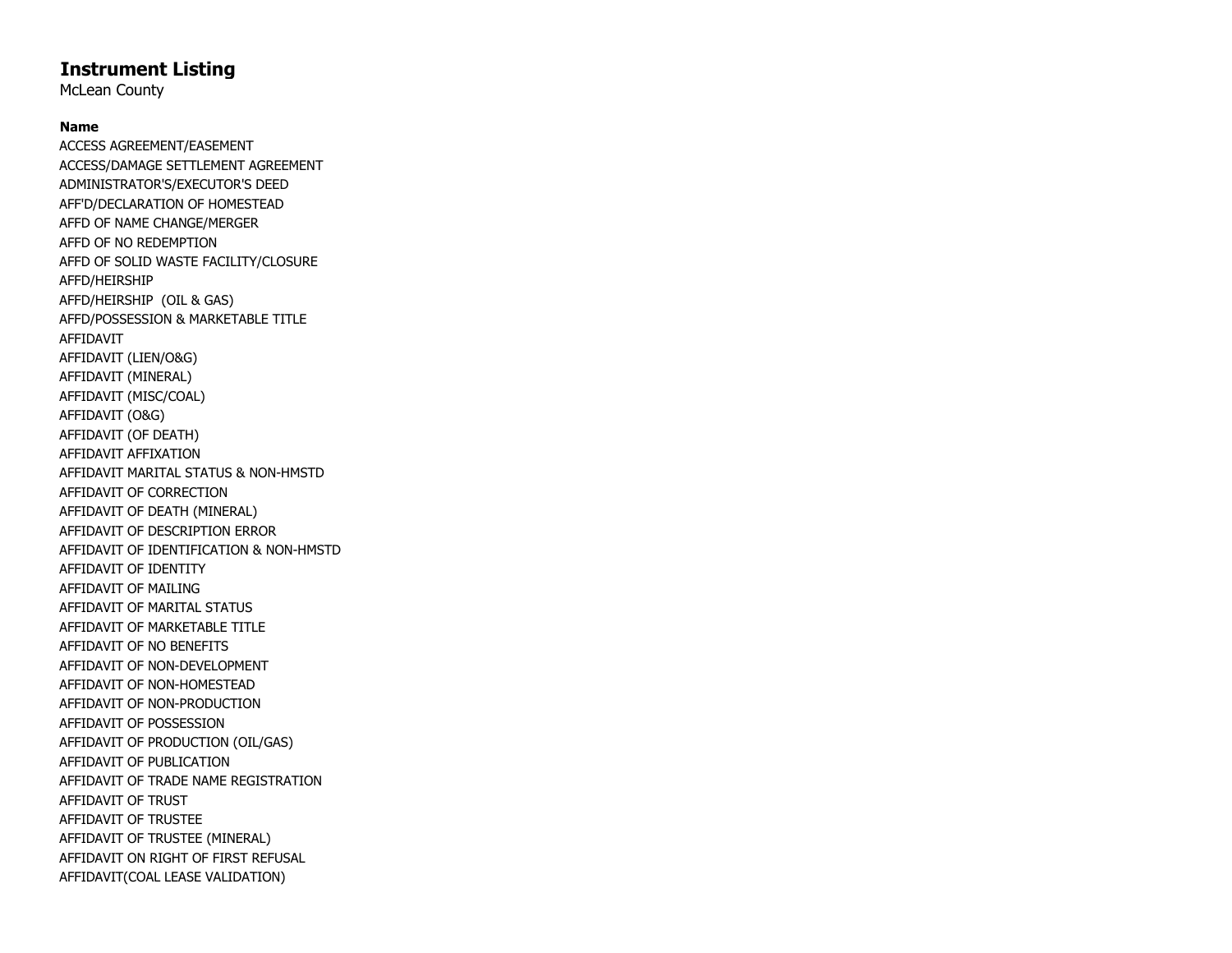## **Instrument Listing**

McLean County

## **Name**

ACCESS AGREEMENT/EASEMENT ACCESS/DAMAGE SETTLEMENT AGREEMENT ADMINISTRATOR'S/EXECUTOR'S DEED AFF'D/DECLARATION OF HOMESTEAD AFFD OF NAME CHANGE/MERGER AFFD OF NO REDEMPTION AFFD OF SOLID WASTE FACILITY/CLOSURE AFFD/HEIRSHIP AFFD/HEIRSHIP (OIL & GAS) AFFD/POSSESSION & MARKETABLE TITLE AFFIDAVIT AFFIDAVIT (LIEN/O&G) AFFIDAVIT (MINERAL) AFFIDAVIT (MISC/COAL) AFFIDAVIT (O&G) AFFIDAVIT (OF DEATH) AFFIDAVIT AFFIXATION AFFIDAVIT MARITAL STATUS & NON-HMSTD AFFIDAVIT OF CORRECTION AFFIDAVIT OF DEATH (MINERAL) AFFIDAVIT OF DESCRIPTION ERROR AFFIDAVIT OF IDENTIFICATION & NON-HMSTD AFFIDAVIT OF IDENTITY AFFIDAVIT OF MAILING AFFIDAVIT OF MARITAL STATUS AFFIDAVIT OF MARKETABLE TITLE AFFIDAVIT OF NO BENEFITS AFFIDAVIT OF NON-DEVELOPMENT AFFIDAVIT OF NON-HOMESTEAD AFFIDAVIT OF NON-PRODUCTION AFFIDAVIT OF POSSESSION AFFIDAVIT OF PRODUCTION (OIL/GAS) AFFIDAVIT OF PUBLICATION AFFIDAVIT OF TRADE NAME REGISTRATION AFFIDAVIT OF TRUST AFFIDAVIT OF TRUSTEE AFFIDAVIT OF TRUSTEE (MINERAL) AFFIDAVIT ON RIGHT OF FIRST REFUSAL AFFIDAVIT(COAL LEASE VALIDATION)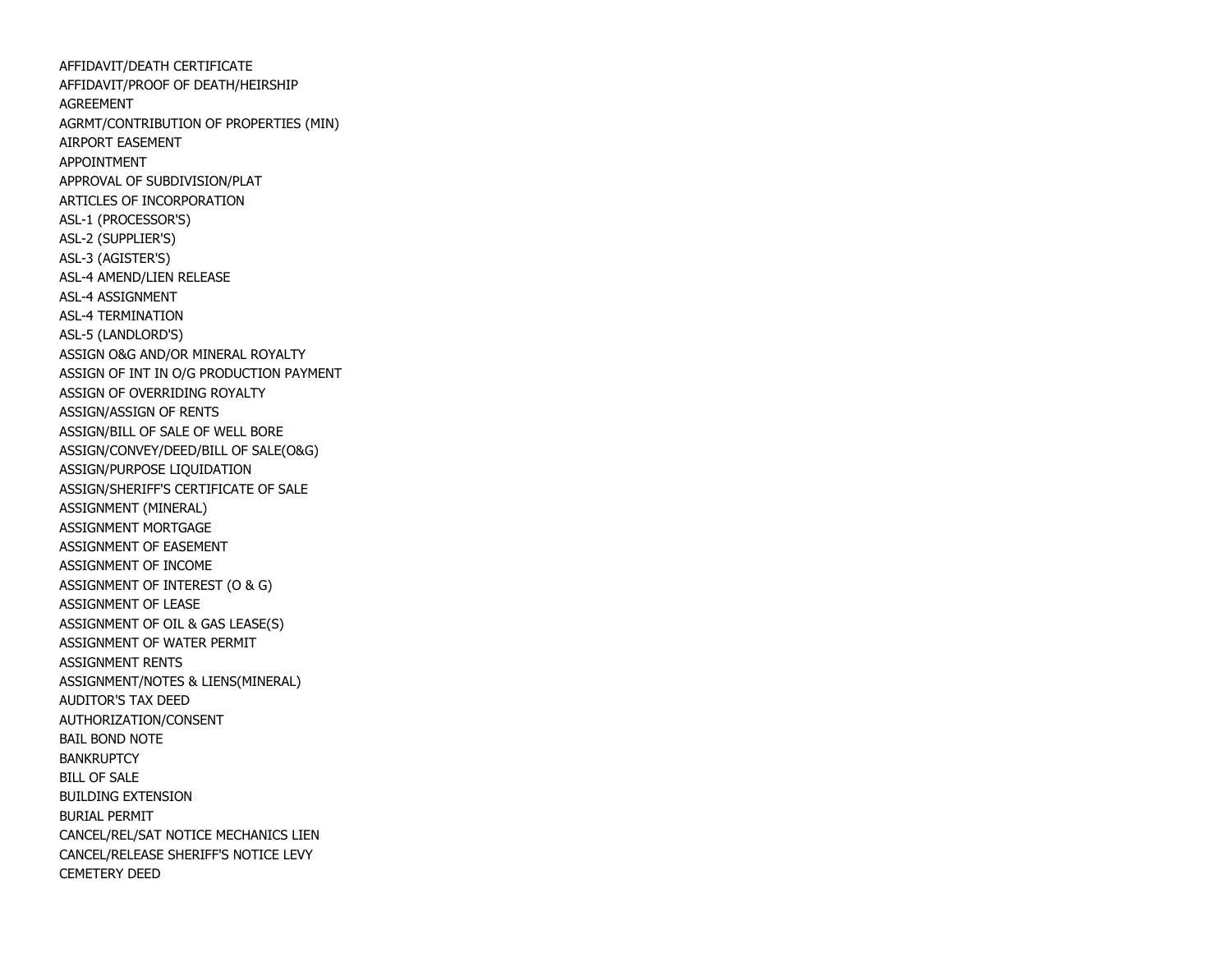AFFIDAVIT/DEATH CERTIFICATE AFFIDAVIT/PROOF OF DEATH/HEIRSHIP AGREEMENT AGRMT/CONTRIBUTION OF PROPERTIES (MIN) AIRPORT EASEMENT APPOINTMENT APPROVAL OF SUBDIVISION/PLAT ARTICLES OF INCORPORATION ASL-1 (PROCESSOR'S) ASL-2 (SUPPLIER'S) ASL-3 (AGISTER'S) ASL-4 AMEND/LIEN RELEASE ASL-4 ASSIGNMENT ASL-4 TERMINATION ASL-5 (LANDLORD'S) ASSIGN O&G AND/OR MINERAL ROYALTY ASSIGN OF INT IN O/G PRODUCTION PAYMENT ASSIGN OF OVERRIDING ROYALTY ASSIGN/ASSIGN OF RENTS ASSIGN/BILL OF SALE OF WELL BORE ASSIGN/CONVEY/DEED/BILL OF SALE(O&G) ASSIGN/PURPOSE LIQUIDATION ASSIGN/SHERIFF'S CERTIFICATE OF SALE ASSIGNMENT (MINERAL) ASSIGNMENT MORTGAGE ASSIGNMENT OF EASEMENT ASSIGNMENT OF INCOME ASSIGNMENT OF INTEREST (O & G) ASSIGNMENT OF LEASE ASSIGNMENT OF OIL & GAS LEASE(S) ASSIGNMENT OF WATER PERMIT ASSIGNMENT RENTS ASSIGNMENT/NOTES & LIENS(MINERAL) AUDITOR'S TAX DEED AUTHORIZATION/CONSENT BAIL BOND NOTE BANKRUPTCY BILL OF SALE BUILDING EXTENSION BURIAL PERMIT CANCEL/REL/SAT NOTICE MECHANICS LIEN CANCEL/RELEASE SHERIFF'S NOTICE LEVY CEMETERY DEED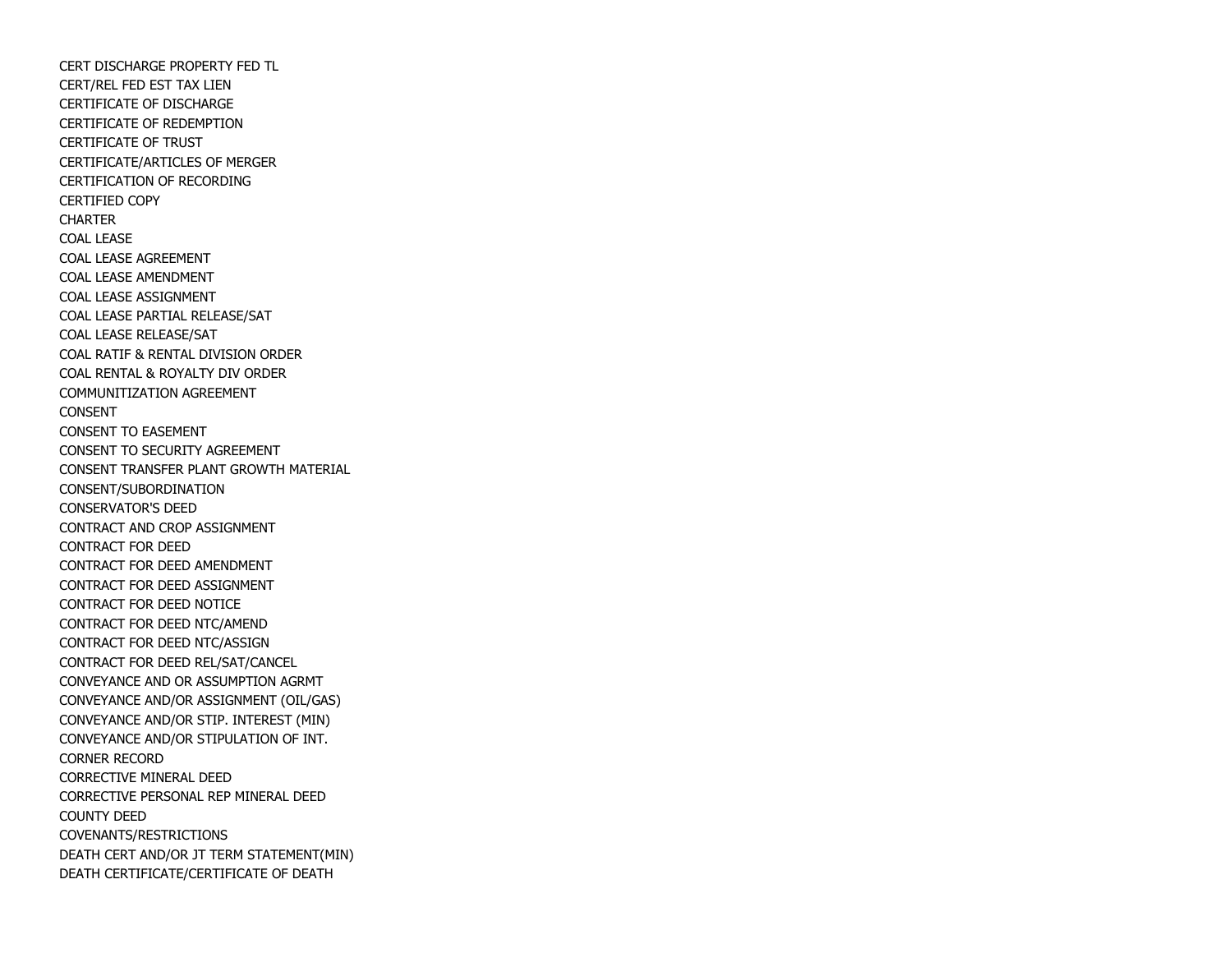CERT DISCHARGE PROPERTY FED TL CERT/REL FED EST TAX LIEN CERTIFICATE OF DISCHARGE CERTIFICATE OF REDEMPTION CERTIFICATE OF TRUST CERTIFICATE/ARTICLES OF MERGER CERTIFICATION OF RECORDING CERTIFIED COPY **CHARTER** COAL LEASE COAL LEASE AGREEMENT COAL LEASE AMENDMENT COAL LEASE ASSIGNMENT COAL LEASE PARTIAL RELEASE/SAT COAL LEASE RELEASE/SAT COAL RATIF & RENTAL DIVISION ORDER COAL RENTAL & ROYALTY DIV ORDER COMMUNITIZATION AGREEMENT CONSENT CONSENT TO EASEMENT CONSENT TO SECURITY AGREEMENT CONSENT TRANSFER PLANT GROWTH MATERIAL CONSENT/SUBORDINATION CONSERVATOR'S DEED CONTRACT AND CROP ASSIGNMENT CONTRACT FOR DEED CONTRACT FOR DEED AMENDMENT CONTRACT FOR DEED ASSIGNMENT CONTRACT FOR DEED NOTICE CONTRACT FOR DEED NTC/AMEND CONTRACT FOR DEED NTC/ASSIGN CONTRACT FOR DEED REL/SAT/CANCEL CONVEYANCE AND OR ASSUMPTION AGRMT CONVEYANCE AND/OR ASSIGNMENT (OIL/GAS) CONVEYANCE AND/OR STIP. INTEREST (MIN) CONVEYANCE AND/OR STIPULATION OF INT. CORNER RECORD CORRECTIVE MINERAL DEED CORRECTIVE PERSONAL REP MINERAL DEED COUNTY DEED COVENANTS/RESTRICTIONS DEATH CERT AND/OR JT TERM STATEMENT(MIN) DEATH CERTIFICATE/CERTIFICATE OF DEATH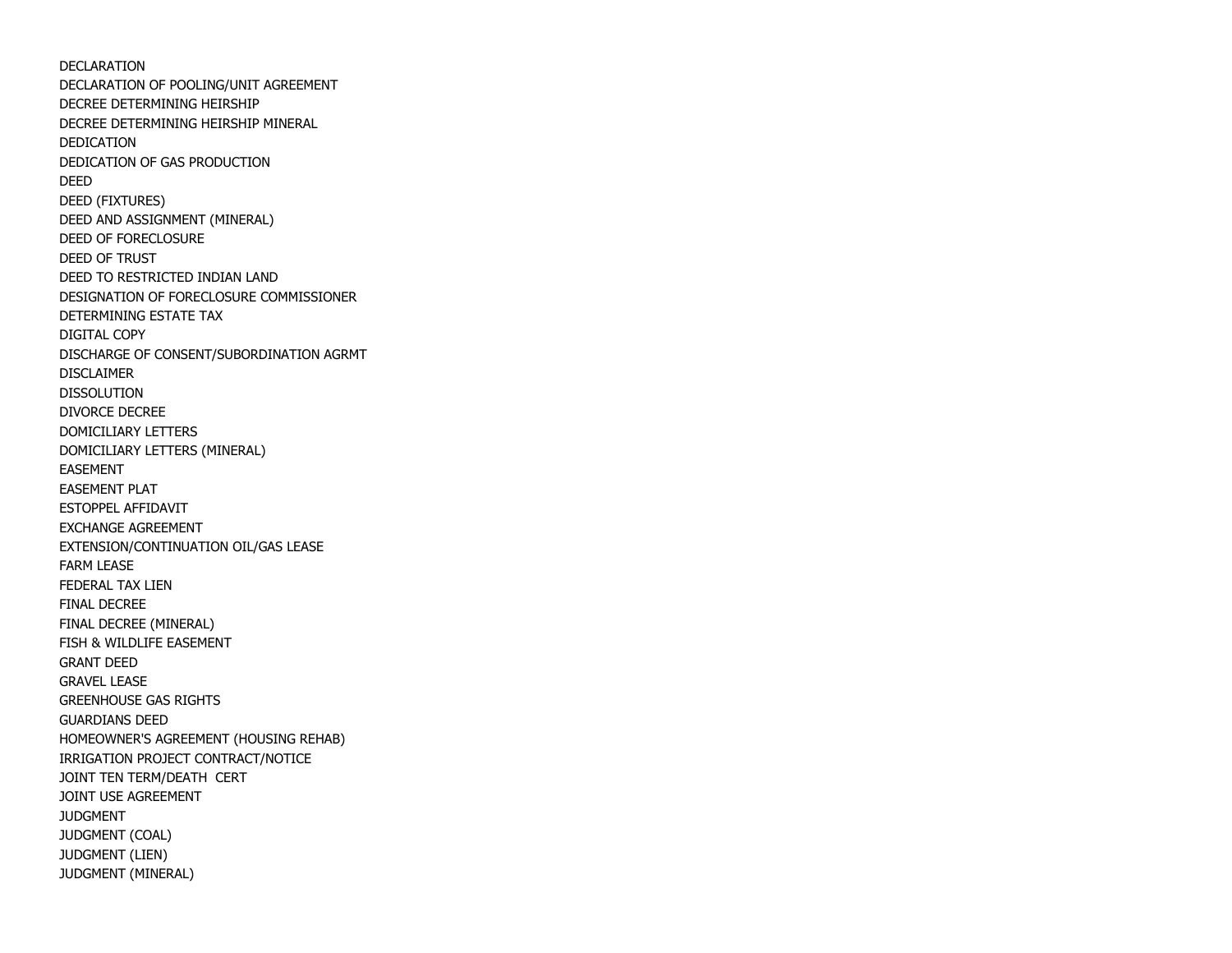DECLARATION DECLARATION OF POOLING/UNIT AGREEMENT DECREE DETERMINING HEIRSHIP DECREE DETERMINING HEIRSHIP MINERAL DEDICATION DEDICATION OF GAS PRODUCTION DEED DEED (FIXTURES) DEED AND ASSIGNMENT (MINERAL) DEED OF FORECLOSURE DEED OF TRUST DEED TO RESTRICTED INDIAN LAND DESIGNATION OF FORECLOSURE COMMISSIONER DETERMINING ESTATE TAX DIGITAL COPY DISCHARGE OF CONSENT/SUBORDINATION AGRMT DISCLAIMER DISSOLUTION DIVORCE DECREE DOMICILIARY LETTERS DOMICILIARY LETTERS (MINERAL) EASEMENT **FASEMENT PLAT** ESTOPPEL AFFIDAVIT EXCHANGE AGREEMENT EXTENSION/CONTINUATION OIL/GAS LEASE FARM LEASE FEDERAL TAX LIEN FINAL DECREE FINAL DECREE (MINERAL) FISH & WILDLIFE EASEMENT GRANT DEED GRAVEL LEASE GREENHOUSE GAS RIGHTS GUARDIANS DEED HOMEOWNER'S AGREEMENT (HOUSING REHAB) IRRIGATION PROJECT CONTRACT/NOTICE JOINT TEN TERM/DEATH CERT JOINT USE AGREEMENT JUDGMENT JUDGMENT (COAL) JUDGMENT (LIEN) JUDGMENT (MINERAL)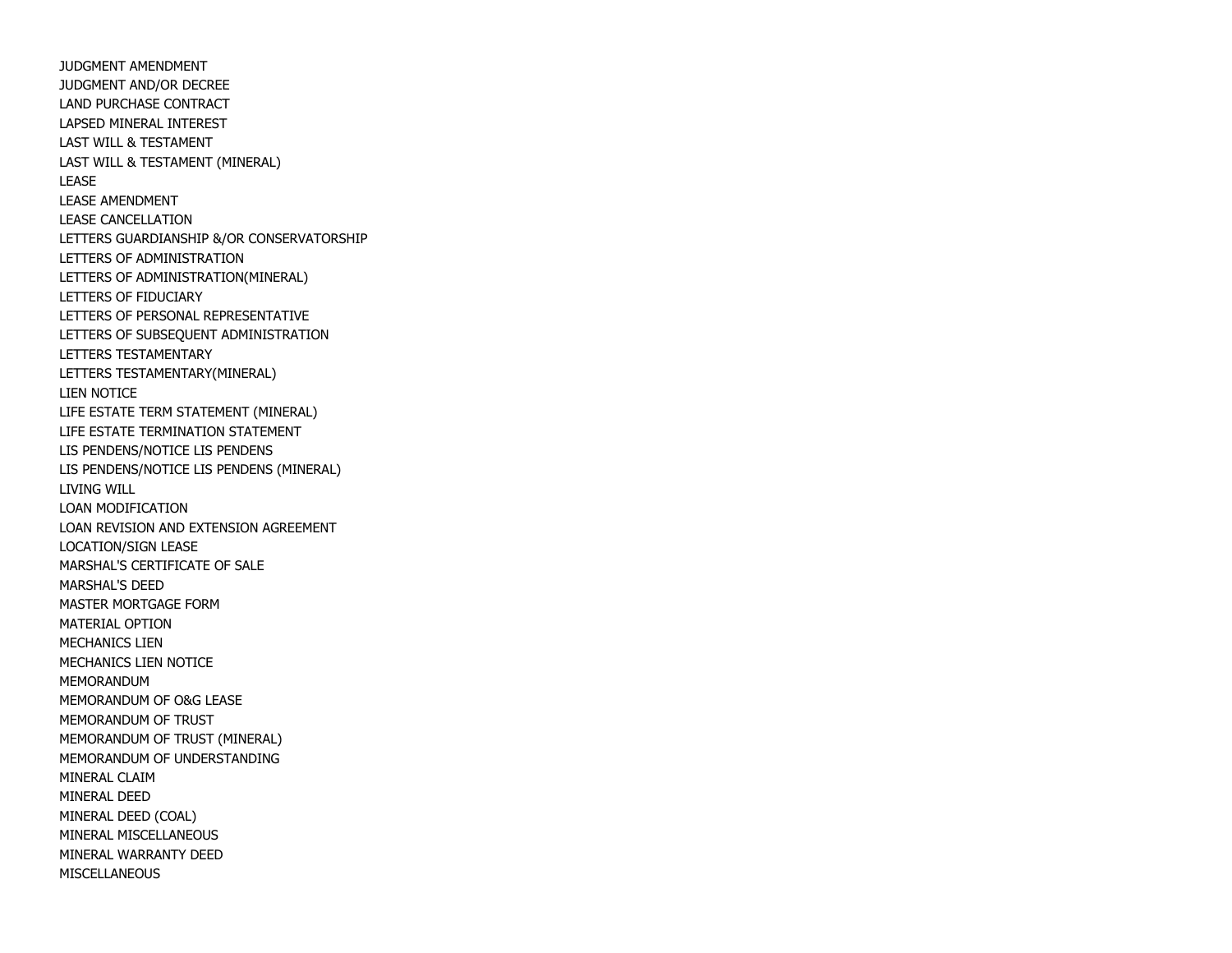JUDGMENT AMENDMENT JUDGMENT AND/OR DECREE LAND PURCHASE CONTRACT LAPSED MINERAL INTEREST LAST WILL & TESTAMENT LAST WILL & TESTAMENT (MINERAL) LEASE LEASE AMENDMENT LEASE CANCELLATION LETTERS GUARDIANSHIP &/OR CONSERVATORSHIP LETTERS OF ADMINISTRATION LETTERS OF ADMINISTRATION(MINERAL) LETTERS OF FIDUCIARY LETTERS OF PERSONAL REPRESENTATIVE LETTERS OF SUBSEQUENT ADMINISTRATION LETTERS TESTAMENTARY LETTERS TESTAMENTARY(MINERAL) LIEN NOTICE LIFE ESTATE TERM STATEMENT (MINERAL) LIFE ESTATE TERMINATION STATEMENT LIS PENDENS/NOTICE LIS PENDENS LIS PENDENS/NOTICE LIS PENDENS (MINERAL) LIVING WILL LOAN MODIFICATION LOAN REVISION AND EXTENSION AGREEMENT LOCATION/SIGN LEASE MARSHAL'S CERTIFICATE OF SALE MARSHAL'S DEED MASTER MORTGAGE FORM MATERIAL OPTION MECHANICS LIEN MECHANICS LIEN NOTICE MEMORANDUM MEMORANDUM OF O&G LEASE MEMORANDUM OF TRUST MEMORANDUM OF TRUST (MINERAL) MEMORANDUM OF UNDERSTANDING MINERAL CLAIM MINERAL DEED MINERAL DEED (COAL) MINERAL MISCELLANEOUS MINERAL WARRANTY DEED MISCELLANEOUS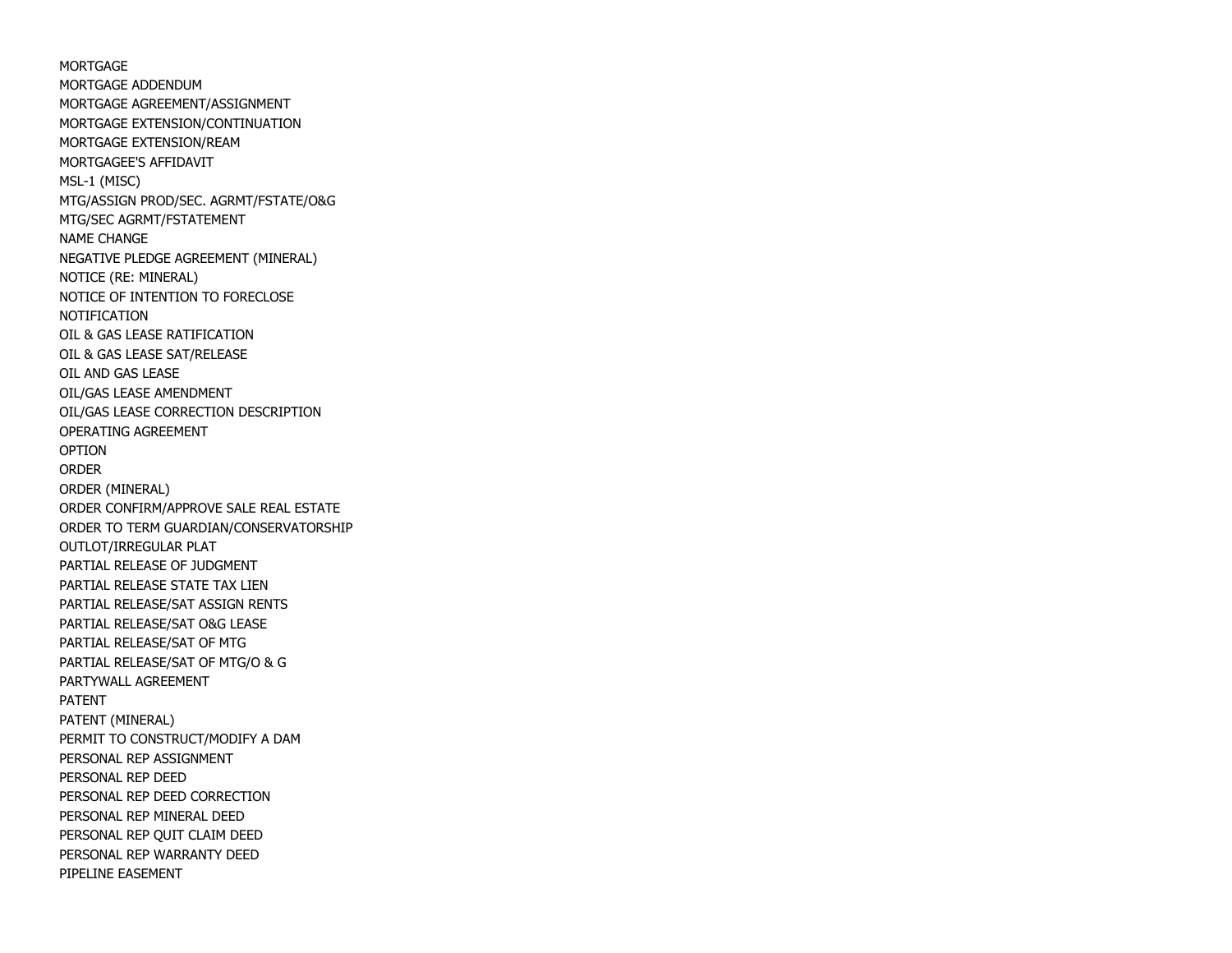MORTGAGE MORTGAGE ADDENDUM MORTGAGE AGREEMENT/ASSIGNMENT MORTGAGE EXTENSION/CONTINUATION MORTGAGE EXTENSION/REAM MORTGAGEE'S AFFIDAVIT MSL-1 (MISC) MTG/ASSIGN PROD/SEC. AGRMT/FSTATE/O&G MTG/SEC AGRMT/FSTATEMENT NAME CHANGE NEGATIVE PLEDGE AGREEMENT (MINERAL) NOTICE (RE: MINERAL) NOTICE OF INTENTION TO FORECLOSE NOTIFICATION OIL & GAS LEASE RATIFICATION OIL & GAS LEASE SAT/RELEASE OIL AND GAS LEASE OIL/GAS LEASE AMENDMENT OIL/GAS LEASE CORRECTION DESCRIPTION OPERATING AGREEMENT OPTION ORDER ORDER (MINERAL) ORDER CONFIRM/APPROVE SALE REAL ESTATE ORDER TO TERM GUARDIAN/CONSERVATORSHIP OUTLOT/IRREGULAR PLAT PARTIAL RELEASE OF JUDGMENT PARTIAL RELEASE STATE TAX LIEN PARTIAL RELEASE/SAT ASSIGN RENTS PARTIAL RELEASE/SAT O&G LEASE PARTIAL RELEASE/SAT OF MTG PARTIAL RELEASE/SAT OF MTG/O & G PARTYWALL AGREEMENT PATENT PATENT (MINERAL) PERMIT TO CONSTRUCT/MODIFY A DAM PERSONAL REP ASSIGNMENT PERSONAL REP DEED PERSONAL REP DEED CORRECTION PERSONAL REP MINERAL DEED PERSONAL REP QUIT CLAIM DEED PERSONAL REP WARRANTY DEED PIPELINE FASEMENT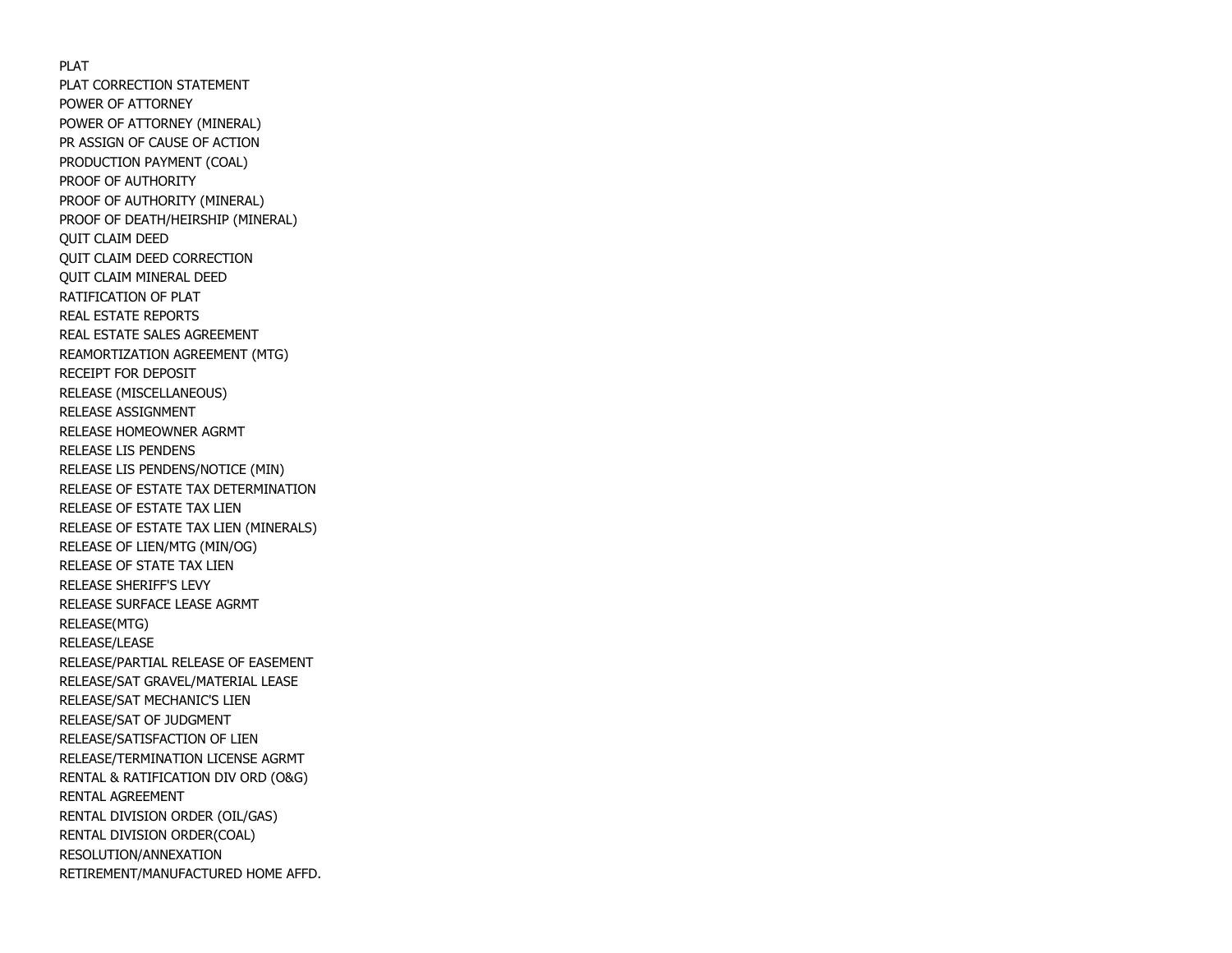PLAT PLAT CORRECTION STATEMENT POWER OF ATTORNEY POWER OF ATTORNEY (MINERAL) PR ASSIGN OF CAUSE OF ACTION PRODUCTION PAYMENT (COAL) PROOF OF AUTHORITY PROOF OF AUTHORITY (MINERAL) PROOF OF DEATH/HEIRSHIP (MINERAL) QUIT CLAIM DEED QUIT CLAIM DEED CORRECTION QUIT CLAIM MINERAL DEED RATIFICATION OF PLAT REAL ESTATE REPORTS REAL ESTATE SALES AGREEMENT REAMORTIZATION AGREEMENT (MTG) RECEIPT FOR DEPOSIT RELEASE (MISCELLANEOUS) RELEASE ASSIGNMENT RELEASE HOMEOWNER AGRMT RELEASE LIS PENDENS RELEASE LIS PENDENS/NOTICE (MIN) RELEASE OF ESTATE TAX DETERMINATION RELEASE OF ESTATE TAX LIEN RELEASE OF ESTATE TAX LIEN (MINERALS) RELEASE OF LIEN/MTG (MIN/OG) RELEASE OF STATE TAX LIEN RELEASE SHERIFF'S LEVY RELEASE SURFACE LEASE AGRMT RELEASE(MTG) RELEASE/LEASE RELEASE/PARTIAL RELEASE OF EASEMENT RELEASE/SAT GRAVEL/MATERIAL LEASE RELEASE/SAT MECHANIC'S LIEN RELEASE/SAT OF JUDGMENT RELEASE/SATISFACTION OF LIEN RELEASE/TERMINATION LICENSE AGRMT RENTAL & RATIFICATION DIV ORD (O&G) RENTAL AGREEMENT RENTAL DIVISION ORDER (OIL/GAS) RENTAL DIVISION ORDER(COAL) RESOLUTION/ANNEXATION RETIREMENT/MANUFACTURED HOME AFFD.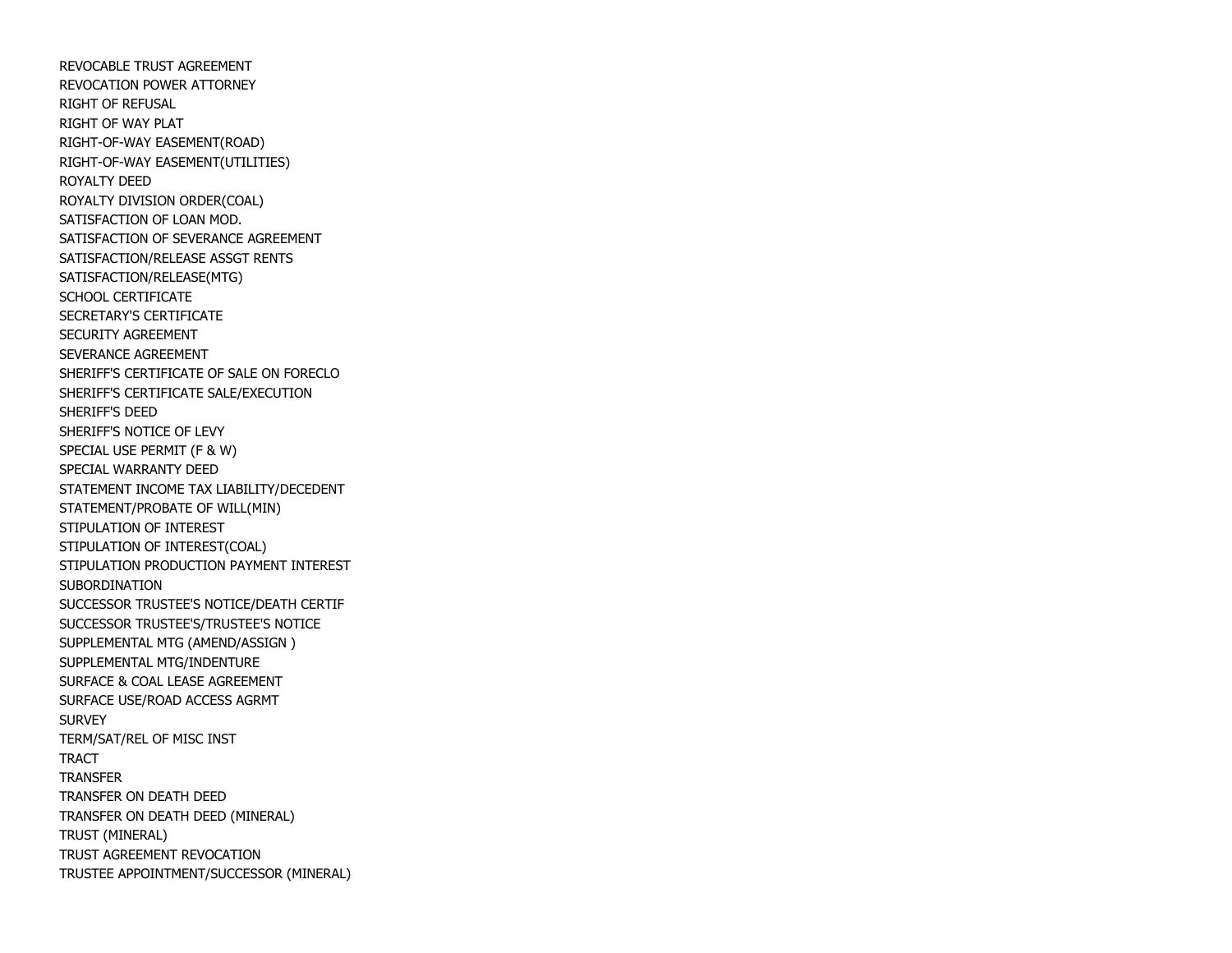REVOCABLE TRUST AGREEMENT REVOCATION POWER ATTORNEY RIGHT OF REFUSAL RIGHT OF WAY PLAT RIGHT-OF-WAY EASEMENT(ROAD) RIGHT-OF-WAY EASEMENT(UTILITIES) ROYALTY DEED ROYALTY DIVISION ORDER(COAL) SATISFACTION OF LOAN MOD. SATISFACTION OF SEVERANCE AGREEMENT SATISFACTION/RELEASE ASSGT RENTS SATISFACTION/RELEASE(MTG) SCHOOL CERTIFICATE SECRETARY'S CERTIFICATE SECURITY AGREEMENT SEVERANCE AGREEMENT SHERIFF'S CERTIFICATE OF SALE ON FORECLO SHERIFF'S CERTIFICATE SALE/EXECUTION SHERIFF'S DEED SHERIFF'S NOTICE OF LEVY SPECIAL USE PERMIT (F & W) SPECIAL WARRANTY DEED STATEMENT INCOME TAX LIABILITY/DECEDENT STATEMENT/PROBATE OF WILL(MIN) STIPULATION OF INTEREST STIPULATION OF INTEREST(COAL) STIPULATION PRODUCTION PAYMENT INTEREST SUBORDINATION SUCCESSOR TRUSTEE'S NOTICE/DEATH CERTIF SUCCESSOR TRUSTEE'S/TRUSTEE'S NOTICE SUPPLEMENTAL MTG (AMEND/ASSIGN ) SUPPLEMENTAL MTG/INDENTURE SURFACE & COAL LEASE AGREEMENT SURFACE USE/ROAD ACCESS AGRMT **SURVEY** TERM/SAT/REL OF MISC INST TRACT TRANSFER TRANSFER ON DEATH DEED TRANSFER ON DEATH DEED (MINERAL) TRUST (MINERAL) TRUST AGREEMENT REVOCATION TRUSTEE APPOINTMENT/SUCCESSOR (MINERAL)